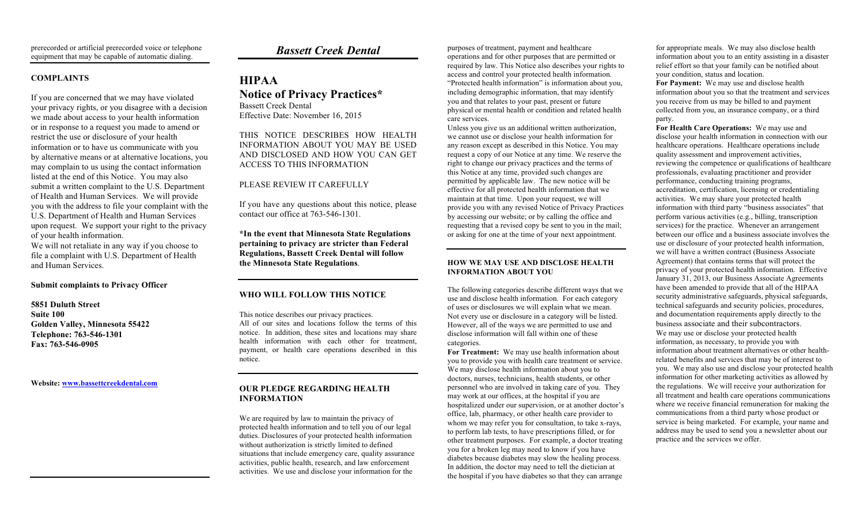## **COMPLAINTS**

If you are concerned that we may have violated your privacy rights, or you disagree with a decision we made about access to your health information or in response to a request you made to amend or restrict the use or disclosure of your health information or to have us communicate with you by alternative means or at alternative locations, you may complain to us using the contact information listed at the end of this Notice. You may also submit a written complaint to the U.S. Department of Health and Human Services. We will provide you with the address to file your complaint with the U.S. Department of Health and Human Services upon request. We support your right to the privacy of your health information.

We will not retaliate in any way if you choose to file a complaint with U.S. Department of Health and Human Services.

#### **Submit complaints to Privacy Officer**

**5851 Duluth Street Suite 100 Golden Valley, Minnesota 55422 Telephone: 763-546-1301 Fax: 763-546-0905**

**Website: [www.bassettcreekdental.com](http://www.bassettcreekdental.com/)**

# *Bassett Creek Dental*

## **HIPAA Notice of Privacy Practices\*** Bassett Creek Dental Effective Date: November 16, 2015

THIS NOTICE DESCRIBES HOW HEALTH INFORMATION ABOUT YOU MAY BE USED AND DISCLOSED AND HOW YOU CAN GET ACCESS TO THIS INFORMATION

## PLEASE REVIEW IT CAREFULLY

If you have any questions about this notice, please contact our office at 763-546-1301.

**\*In the event that Minnesota State Regulations pertaining to privacy are stricter than Federal Regulations, Bassett Creek Dental will follow the Minnesota State Regulations**.

## **WHO WILL FOLLOW THIS NOTICE**

This notice describes our privacy practices. All of our sites and locations follow the terms of this notice. In addition, these sites and locations may share health information with each other for treatment, payment, or health care operations described in this notice.

### **OUR PLEDGE REGARDING HEALTH INFORMATION**

We are required by law to maintain the privacy of protected health information and to tell you of our legal duties. Disclosures of your protected health information without authorization is strictly limited to defined situations that include emergency care, quality assurance activities, public health, research, and law enforcement activities. We use and disclose your information for the

purposes of treatment, payment and healthcare operations and for other purposes that are permitted or required by law. This Notice also describes your rights to access and control your protected health information. "Protected health information" is information about you, including demographic information, that may identify you and that relates to your past, present or future physical or mental health or condition and related health care services.

Unless you give us an additional written authorization, we cannot use or disclose your health information for any reason except as described in this Notice. You may request a copy of our Notice at any time. We reserve the right to change our privacy practices and the terms of this Notice at any time, provided such changes are permitted by applicable law. The new notice will be effective for all protected health information that we maintain at that time. Upon your request, we will provide you with any revised Notice of Privacy Practices by accessing our website; or by calling the office and requesting that a revised copy be sent to you in the mail; or asking for one at the time of your next appointment.

#### **HOW WE MAY USE AND DISCLOSE HEALTH INFORMATION ABOUT YOU**

The following categories describe different ways that we use and disclose health information. For each category of uses or disclosures we will explain what we mean. Not every use or disclosure in a category will be listed. However, all of the ways we are permitted to use and disclose information will fall within one of these categories.

**For Treatment:** We may use health information about you to provide you with health care treatment or service. We may disclose health information about you to doctors, nurses, technicians, health students, or other personnel who are involved in taking care of you. They may work at our offices, at the hospital if you are hospitalized under our supervision, or at another doctor's office, lab, pharmacy, or other health care provider to whom we may refer you for consultation, to take x-rays, to perform lab tests, to have prescriptions filled, or for other treatment purposes. For example, a doctor treating you for a broken leg may need to know if you have diabetes because diabetes may slow the healing process. In addition, the doctor may need to tell the dietician at the hospital if you have diabetes so that they can arrange

for appropriate meals. We may also disclose health information about you to an entity assisting in a disaster relief effort so that your family can be notified about your condition, status and location. **For Payment:** We may use and disclose health information about you so that the treatment and services you receive from us may be billed to and payment collected from you, an insurance company, or a third party.

**For Health Care Operations:** We may use and disclose your health information in connection with our healthcare operations. Healthcare operations include quality assessment and improvement activities, reviewing the competence or qualifications of healthcare professionals, evaluating practitioner and provider performance, conducting training programs, accreditation, certification, licensing or credentialing activities. We may share your protected health information with third party "business associates" that perform various activities (e.g., billing, transcription services) for the practice. Whenever an arrangement between our office and a business associate involves the use or disclosure of your protected health information, we will have a written contract (Business Associate Agreement) that contains terms that will protect the privacy of your protected health information. Effective January 31, 2013, our Business Associate Agreements have been amended to provide that all of the HIPAA security administrative safeguards, physical safeguards, technical safeguards and security policies, procedures, and documentation requirements apply directly to the business associate and their subcontractors. We may use or disclose your protected health information, as necessary, to provide you with information about treatment alternatives or other healthrelated benefits and services that may be of interest to you. We may also use and disclose your protected health information for other marketing activities as allowed by the regulations. We will receive your authorization for all treatment and health care operations communications where we receive financial remuneration for making the communications from a third party whose product or service is being marketed. For example, your name and address may be used to send you a newsletter about our practice and the services we offer.